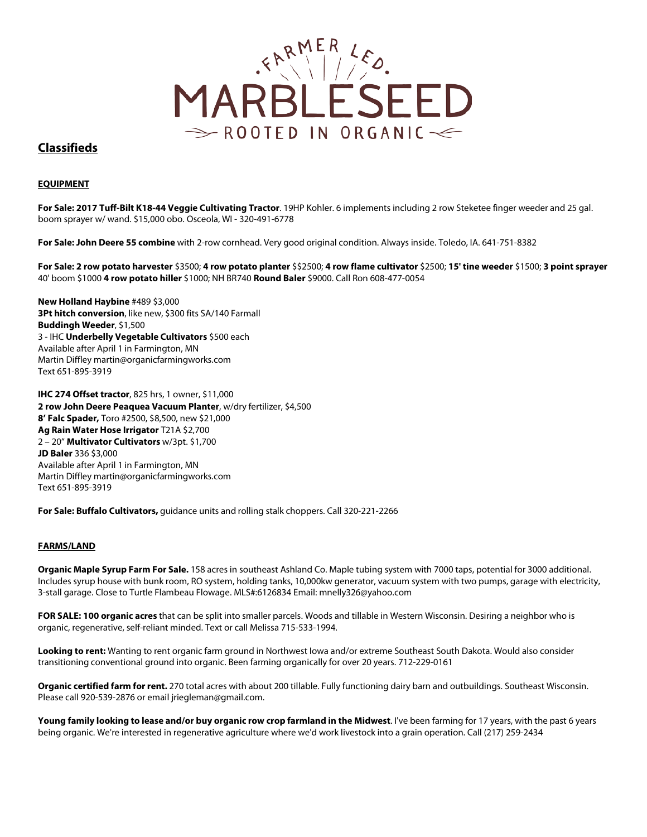

# **Classifieds**

## **EQUIPMENT**

**For Sale: 2017 Tuff-Bilt K18-44 Veggie Cultivating Tractor**. 19HP Kohler. 6 implements including 2 row Steketee finger weeder and 25 gal. boom sprayer w/ wand. \$15,000 obo. Osceola, WI - 320-491-6778

**For Sale: John Deere 55 combine** with 2-row cornhead. Very good original condition. Always inside. Toledo, IA. 641-751-8382

**For Sale: 2 row potato harvester** \$3500; **4 row potato planter** \$\$2500; **4 row flame cultivator** \$2500; **15' tine weeder** \$1500; **3 point sprayer** 40' boom \$1000 **4 row potato hiller** \$1000; NH BR740 **Round Baler** \$9000. Call Ron 608-477-0054

**New Holland Haybine** #489 \$3,000 **3Pt hitch conversion**, like new, \$300 fits SA/140 Farmall **Buddingh Weeder**, \$1,500 3 - IHC **Underbelly Vegetable Cultivators** \$500 each Available after April 1 in Farmington, MN Martin Diffley martin@organicfarmingworks.com Text 651-895-3919

**IHC 274 Offset tractor**, 825 hrs, 1 owner, \$11,000 **2 row John Deere Peaquea Vacuum Planter**, w/dry fertilizer, \$4,500 **8' Falc Spader,** Toro #2500, \$8,500, new \$21,000 **Ag Rain Water Hose Irrigator** T21A \$2,700 2 – 20" **Multivator Cultivators** w/3pt. \$1,700 **JD Baler** 336 \$3,000 Available after April 1 in Farmington, MN Martin Diffley martin@organicfarmingworks.com Text 651-895-3919

**For Sale: Buffalo Cultivators,** guidance units and rolling stalk choppers. Call 320-221-2266

### **FARMS/LAND**

**Organic Maple Syrup Farm For Sale.** 158 acres in southeast Ashland Co. Maple tubing system with 7000 taps, potential for 3000 additional. Includes syrup house with bunk room, RO system, holding tanks, 10,000kw generator, vacuum system with two pumps, garage with electricity, 3-stall garage. Close to Turtle Flambeau Flowage. MLS#:6126834 Email: mnelly326@yahoo.com

**FOR SALE: 100 organic acres** that can be split into smaller parcels. Woods and tillable in Western Wisconsin. Desiring a neighbor who is organic, regenerative, self-reliant minded. Text or call Melissa 715-533-1994.

**Looking to rent:** Wanting to rent organic farm ground in Northwest Iowa and/or extreme Southeast South Dakota. Would also consider transitioning conventional ground into organic. Been farming organically for over 20 years. 712-229-0161

**Organic certified farm for rent.** 270 total acres with about 200 tillable. Fully functioning dairy barn and outbuildings. Southeast Wisconsin. Please call 920-539-2876 or email jriegleman@gmail.com.

**Young family looking to lease and/or buy organic row crop farmland in the Midwest**. I've been farming for 17 years, with the past 6 years being organic. We're interested in regenerative agriculture where we'd work livestock into a grain operation. Call (217) 259-2434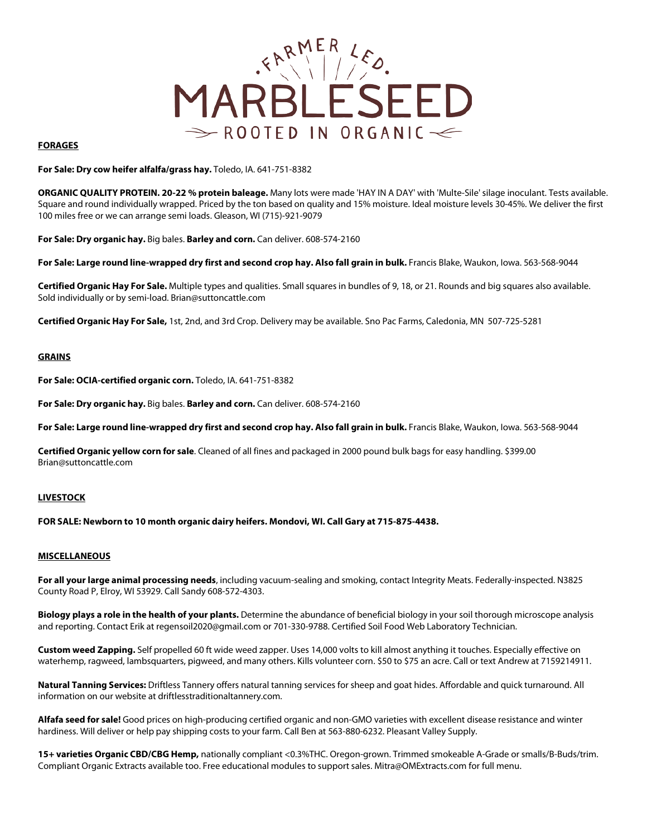

### **FORAGES**

**For Sale: Dry cow heifer alfalfa/grass hay.** Toledo, IA. 641-751-8382

**ORGANIC QUALITY PROTEIN. 20-22 % protein baleage.** Many lots were made 'HAY IN A DAY' with 'Multe-Sile' silage inoculant. Tests available. Square and round individually wrapped. Priced by the ton based on quality and 15% moisture. Ideal moisture levels 30-45%. We deliver the first 100 miles free or we can arrange semi loads. Gleason, WI (715)-921-9079

**For Sale: Dry organic hay.** Big bales. **Barley and corn.** Can deliver. 608-574-2160

For Sale: Large round line-wrapped dry first and second crop hay. Also fall grain in bulk. Francis Blake, Waukon, Iowa. 563-568-9044

**Certified Organic Hay For Sale.** Multiple types and qualities. Small squares in bundles of 9, 18, or 21. Rounds and big squares also available. Sold individually or by semi-load. Brian@suttoncattle.com

**Certified Organic Hay For Sale,** 1st, 2nd, and 3rd Crop. Delivery may be available. Sno Pac Farms, Caledonia, MN 507-725-5281

#### **GRAINS**

**For Sale: OCIA-certified organic corn.** Toledo, IA. 641-751-8382

**For Sale: Dry organic hay.** Big bales. **Barley and corn.** Can deliver. 608-574-2160

**For Sale: Large round line-wrapped dry first and second crop hay. Also fall grain in bulk.** Francis Blake, Waukon, Iowa. 563-568-9044

**Certified Organic yellow corn for sale**. Cleaned of all fines and packaged in 2000 pound bulk bags for easy handling. \$399.00 Brian@suttoncattle.com

### **LIVESTOCK**

**FOR SALE: Newborn to 10 month organic dairy heifers. Mondovi, WI. Call Gary at 715-875-4438.** 

#### **MISCELLANEOUS**

**For all your large animal processing needs**, including vacuum-sealing and smoking, contact Integrity Meats. Federally-inspected. N3825 County Road P, Elroy, WI 53929. Call Sandy 608-572-4303.

**Biology plays a role in the health of your plants.** Determine the abundance of beneficial biology in your soil thorough microscope analysis and reporting. Contact Erik at regensoil2020@gmail.com or 701-330-9788. Certified Soil Food Web Laboratory Technician.

**Custom weed Zapping.** Self propelled 60 ft wide weed zapper. Uses 14,000 volts to kill almost anything it touches. Especially effective on waterhemp, ragweed, lambsquarters, pigweed, and many others. Kills volunteer corn. \$50 to \$75 an acre. Call or text Andrew at 7159214911.

**Natural Tanning Services:** Driftless Tannery offers natural tanning services for sheep and goat hides. Affordable and quick turnaround. All information on our website at driftlesstraditionaltannery.com.

**Alfafa seed for sale!** Good prices on high-producing certified organic and non-GMO varieties with excellent disease resistance and winter hardiness. Will deliver or help pay shipping costs to your farm. Call Ben at 563-880-6232. Pleasant Valley Supply.

**15+ varieties Organic CBD/CBG Hemp,** nationally compliant <0.3%THC. Oregon-grown. Trimmed smokeable A-Grade or smalls/B-Buds/trim. Compliant Organic Extracts available too. Free educational modules to support sales. Mitra@OMExtracts.com for full menu.